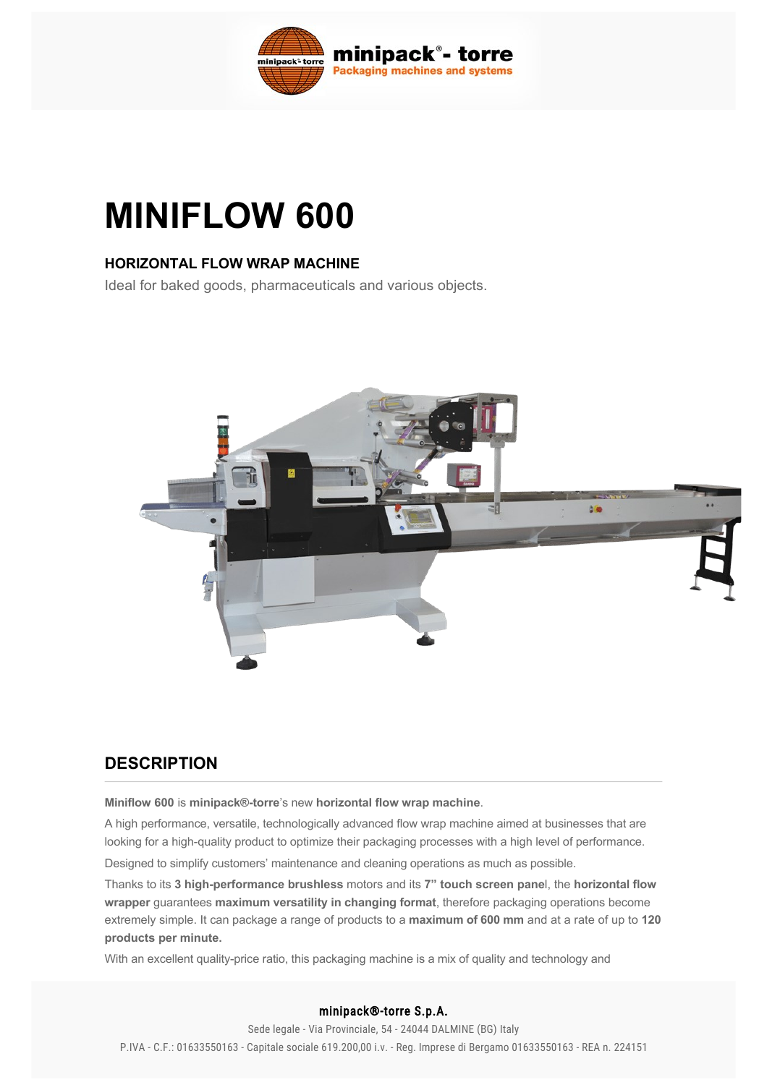

# **MINIFLOW 600**

#### **HORIZONTAL FLOW WRAP MACHINE**

Ideal for baked goods, pharmaceuticals and various objects.



## **DESCRIPTION**

**Miniflow 600** is **minipack®torre**'s new **horizontal flow wrap machine**.

A high performance, versatile, technologically advanced flow wrap machine aimed at businesses that are looking for a high-quality product to optimize their packaging processes with a high level of performance.

Designed to simplify customers' maintenance and cleaning operations as much as possible.

Thanks to its 3 high-performance brushless motors and its 7" touch screen panel, the horizontal flow **wrapper** guarantees **maximum versatility in changing format**, therefore packaging operations become extremely simple. It can package a range of products to a **maximum of 600 mm** and at a rate of up to **120 products per minute.**

With an excellent quality-price ratio, this packaging machine is a mix of quality and technology and

#### minipack®-torre S.p.A.

Sede legale - Via Provinciale, 54 - 24044 DALMINE (BG) Italy P.IVA - C.F.: 01633550163 - Capitale sociale 619.200,00 i.v. - Reg. Imprese di Bergamo 01633550163 - REA n. 224151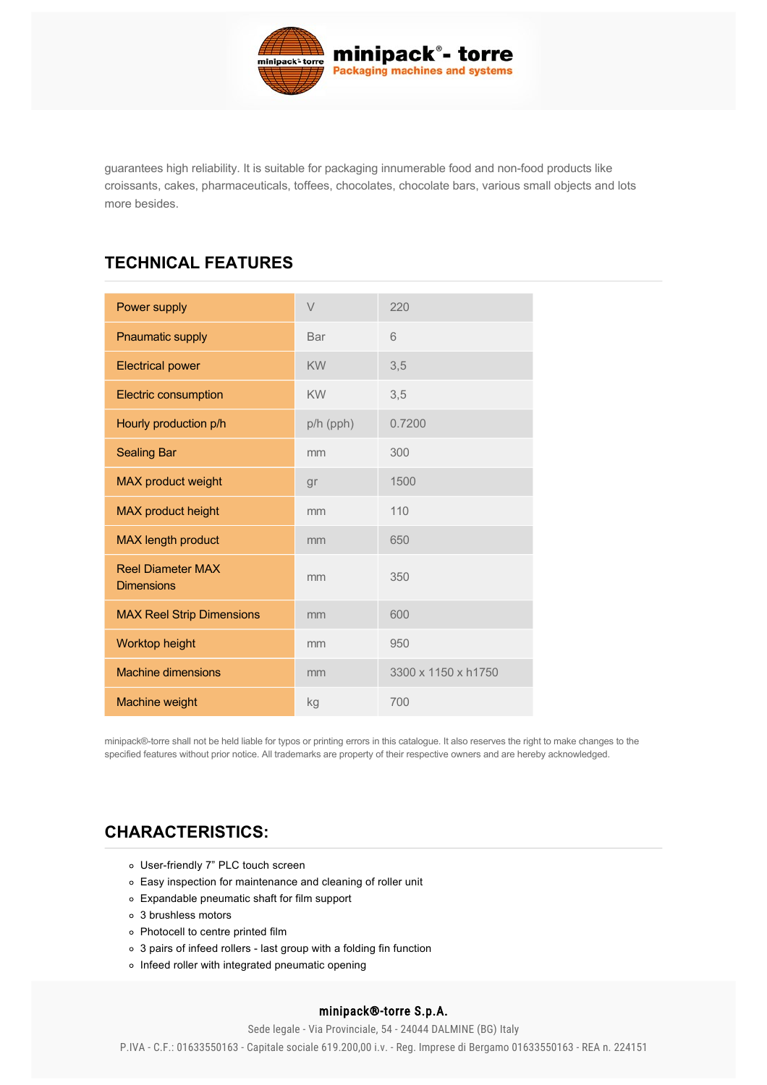

guarantees high reliability. It is suitable for packaging innumerable food and nonfood products like croissants, cakes, pharmaceuticals, toffees, chocolates, chocolate bars, various small objects and lots more besides.

## **TECHNICAL FEATURES**

| Power supply                                  | $\vee$    | 220                 |
|-----------------------------------------------|-----------|---------------------|
| <b>Pnaumatic supply</b>                       | Bar       | 6                   |
| <b>Electrical power</b>                       | <b>KW</b> | 3,5                 |
| <b>Electric consumption</b>                   | <b>KW</b> | 3,5                 |
| Hourly production p/h                         | p/h (pph) | 0.7200              |
| <b>Sealing Bar</b>                            | mm        | 300                 |
| <b>MAX product weight</b>                     | gr        | 1500                |
| MAX product height                            | mm        | 110                 |
| <b>MAX</b> length product                     | mm        | 650                 |
| <b>Reel Diameter MAX</b><br><b>Dimensions</b> | mm        | 350                 |
| <b>MAX Reel Strip Dimensions</b>              | mm        | 600                 |
| Worktop height                                | mm        | 950                 |
| <b>Machine dimensions</b>                     | mm        | 3300 x 1150 x h1750 |
| Machine weight                                | kg        | 700                 |

minipack®torre shall not be held liable for typos or printing errors in this catalogue. It also reserves the right to make changes to the specified features without prior notice. All trademarks are property of their respective owners and are hereby acknowledged.

## **[CHARACTERISTICS:](#page-1-0)**

- <span id="page-1-0"></span>o User-friendly 7" PLC touch screen
- Easy inspection for maintenance and cleaning of roller unit
- Expandable pneumatic shaft for film support
- 3 brushless motors
- Photocell to centre printed film
- $\circ$  3 pairs of infeed rollers last group with a folding fin function
- $\circ$  Infeed roller with integrated pneumatic opening

#### Motorised product university with central guide  $m$  minipack®-torre S.p.A.

Sede legale - Via Provinciale, 54 - 24044 DALMINE (BG) Italy P.IVA - C.F.: 01633550163 - Capitale sociale 619.200,00 i.v. - Reg. Imprese di Bergamo 01633550163 - REA n. 224151